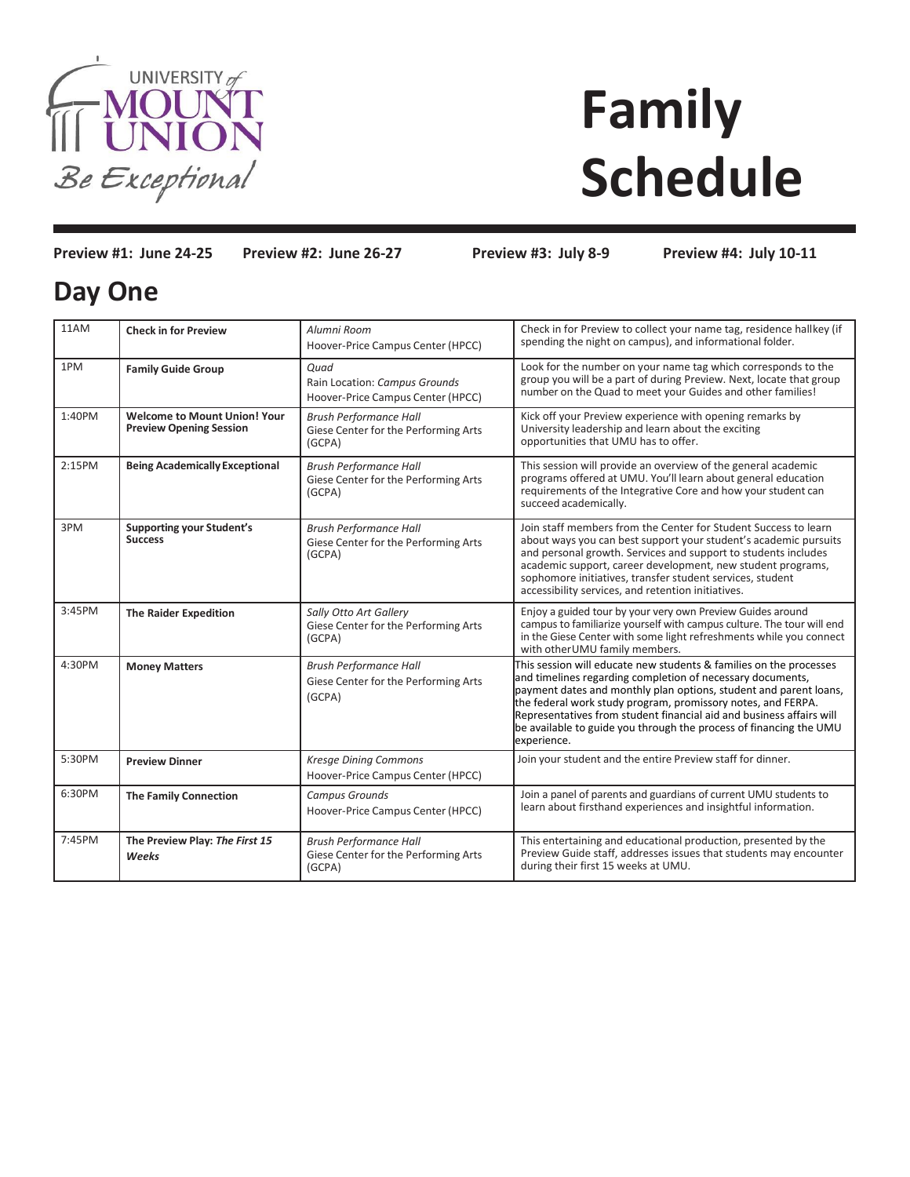

## **Family Schedule**

**Preview #1: June 24-25 Preview #2: June 26-27 Preview #3: July 8-9 Preview #4: July 10-11**

## **Day One**

| 11AM   | <b>Check in for Preview</b>                                           | Alumni Room<br>Hoover-Price Campus Center (HPCC)                                | Check in for Preview to collect your name tag, residence hallkey (if<br>spending the night on campus), and informational folder.                                                                                                                                                                                                                                                                                                   |
|--------|-----------------------------------------------------------------------|---------------------------------------------------------------------------------|------------------------------------------------------------------------------------------------------------------------------------------------------------------------------------------------------------------------------------------------------------------------------------------------------------------------------------------------------------------------------------------------------------------------------------|
| 1PM    | <b>Family Guide Group</b>                                             | Quad<br>Rain Location: Campus Grounds<br>Hoover-Price Campus Center (HPCC)      | Look for the number on your name tag which corresponds to the<br>group you will be a part of during Preview. Next, locate that group<br>number on the Quad to meet your Guides and other families!                                                                                                                                                                                                                                 |
| 1:40PM | <b>Welcome to Mount Union! Your</b><br><b>Preview Opening Session</b> | <b>Brush Performance Hall</b><br>Giese Center for the Performing Arts<br>(GCPA) | Kick off your Preview experience with opening remarks by<br>University leadership and learn about the exciting<br>opportunities that UMU has to offer.                                                                                                                                                                                                                                                                             |
| 2:15PM | <b>Being Academically Exceptional</b>                                 | <b>Brush Performance Hall</b><br>Giese Center for the Performing Arts<br>(GCPA) | This session will provide an overview of the general academic<br>programs offered at UMU. You'll learn about general education<br>requirements of the Integrative Core and how your student can<br>succeed academically.                                                                                                                                                                                                           |
| 3PM    | <b>Supporting your Student's</b><br><b>Success</b>                    | <b>Brush Performance Hall</b><br>Giese Center for the Performing Arts<br>(GCPA) | Join staff members from the Center for Student Success to learn<br>about ways you can best support your student's academic pursuits<br>and personal growth. Services and support to students includes<br>academic support, career development, new student programs,<br>sophomore initiatives, transfer student services, student<br>accessibility services, and retention initiatives.                                            |
| 3:45PM | <b>The Raider Expedition</b>                                          | Sally Otto Art Gallery<br>Giese Center for the Performing Arts<br>(GCPA)        | Enjoy a guided tour by your very own Preview Guides around<br>campus to familiarize yourself with campus culture. The tour will end<br>in the Giese Center with some light refreshments while you connect<br>with other UMU family members.                                                                                                                                                                                        |
| 4:30PM | <b>Money Matters</b>                                                  | <b>Brush Performance Hall</b><br>Giese Center for the Performing Arts<br>(GCPA) | This session will educate new students & families on the processes<br>and timelines regarding completion of necessary documents,<br>payment dates and monthly plan options, student and parent loans,<br>the federal work study program, promissory notes, and FERPA.<br>Representatives from student financial aid and business affairs will<br>be available to guide you through the process of financing the UMU<br>experience. |
| 5:30PM | <b>Preview Dinner</b>                                                 | <b>Kresge Dining Commons</b><br>Hoover-Price Campus Center (HPCC)               | Join your student and the entire Preview staff for dinner.                                                                                                                                                                                                                                                                                                                                                                         |
| 6:30PM | <b>The Family Connection</b>                                          | <b>Campus Grounds</b><br>Hoover-Price Campus Center (HPCC)                      | Join a panel of parents and guardians of current UMU students to<br>learn about firsthand experiences and insightful information.                                                                                                                                                                                                                                                                                                  |
| 7:45PM | The Preview Play: The First 15<br>Weeks                               | <b>Brush Performance Hall</b><br>Giese Center for the Performing Arts<br>(GCPA) | This entertaining and educational production, presented by the<br>Preview Guide staff, addresses issues that students may encounter<br>during their first 15 weeks at UMU.                                                                                                                                                                                                                                                         |